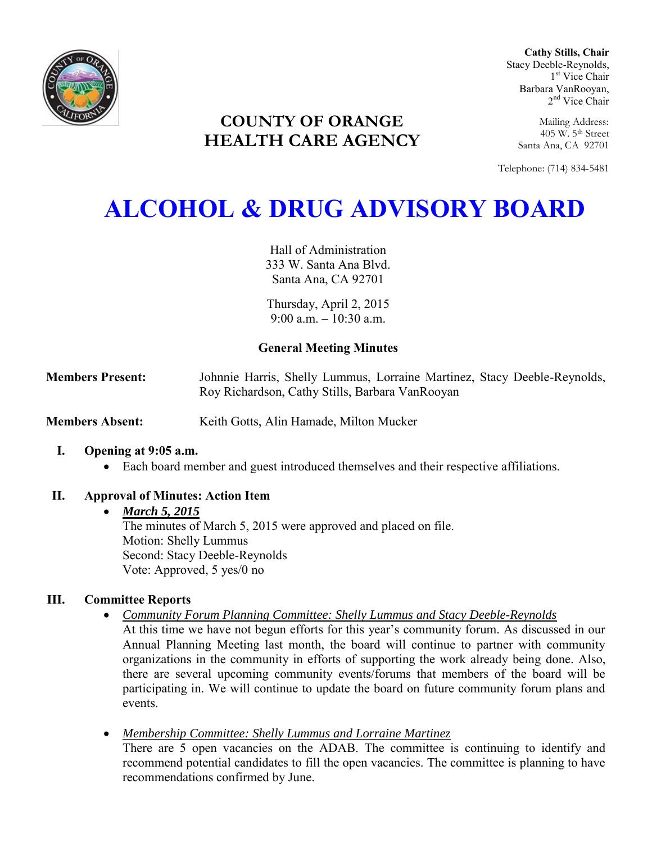

**COUNTY OF ORANGE HEALTH CARE AGENCY**

**Cathy Stills, Chair** Stacy Deeble-Reynolds, 1 st Vice Chair Barbara VanRooyan, 2<sup>nd</sup> Vice Chair

Mailing Address: 405 W. 5th Street Santa Ana, CA 92701

Telephone: (714) 834-5481

# **ALCOHOL & DRUG ADVISORY BOARD**

Hall of Administration 333 W. Santa Ana Blvd. Santa Ana, CA 92701

Thursday, April 2, 2015 9:00 a.m.  $-10.30$  a.m.

# **General Meeting Minutes**

**Members Present:** Johnnie Harris, Shelly Lummus, Lorraine Martinez, Stacy Deeble-Reynolds, Roy Richardson, Cathy Stills, Barbara VanRooyan

**Members Absent:** Keith Gotts, Alin Hamade, Milton Mucker

## **I. Opening at 9:05 a.m.**

Each board member and guest introduced themselves and their respective affiliations.

# **II. Approval of Minutes: Action Item**

## *March 5, 2015*

The minutes of March 5, 2015 were approved and placed on file. Motion: Shelly Lummus Second: Stacy Deeble-Reynolds Vote: Approved, 5 yes/0 no

## **III. Committee Reports**

*Community Forum Planning Committee: Shelly Lummus and Stacy Deeble-Reynolds* 

At this time we have not begun efforts for this year's community forum. As discussed in our Annual Planning Meeting last month, the board will continue to partner with community organizations in the community in efforts of supporting the work already being done. Also, there are several upcoming community events/forums that members of the board will be participating in. We will continue to update the board on future community forum plans and events.

 *Membership Committee: Shelly Lummus and Lorraine Martinez*  There are 5 open vacancies on the ADAB. The committee is continuing to identify and recommend potential candidates to fill the open vacancies. The committee is planning to have recommendations confirmed by June.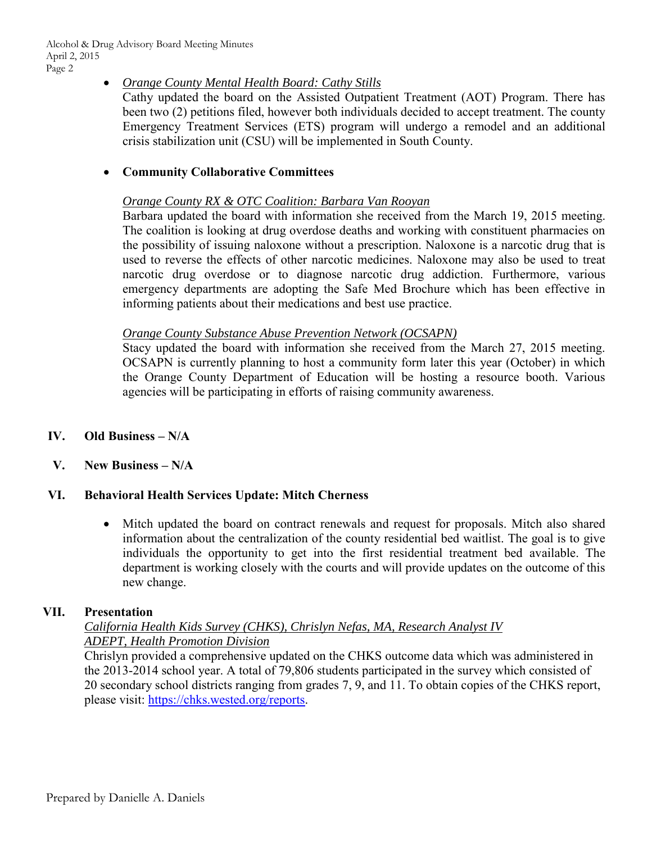## *Orange County Mental Health Board: Cathy Stills*

Cathy updated the board on the Assisted Outpatient Treatment (AOT) Program. There has been two (2) petitions filed, however both individuals decided to accept treatment. The county Emergency Treatment Services (ETS) program will undergo a remodel and an additional crisis stabilization unit (CSU) will be implemented in South County.

# **Community Collaborative Committees**

## *Orange County RX & OTC Coalition: Barbara Van Rooyan*

Barbara updated the board with information she received from the March 19, 2015 meeting. The coalition is looking at drug overdose deaths and working with constituent pharmacies on the possibility of issuing naloxone without a prescription. Naloxone is a narcotic drug that is used to reverse the effects of other narcotic medicines. Naloxone may also be used to treat narcotic drug overdose or to diagnose narcotic drug addiction. Furthermore, various emergency departments are adopting the Safe Med Brochure which has been effective in informing patients about their medications and best use practice.

## *Orange County Substance Abuse Prevention Network (OCSAPN)*

Stacy updated the board with information she received from the March 27, 2015 meeting. OCSAPN is currently planning to host a community form later this year (October) in which the Orange County Department of Education will be hosting a resource booth. Various agencies will be participating in efforts of raising community awareness.

# **IV. Old Business – N/A**

# **V. New Business – N/A**

# **VI. Behavioral Health Services Update: Mitch Cherness**

 Mitch updated the board on contract renewals and request for proposals. Mitch also shared information about the centralization of the county residential bed waitlist. The goal is to give individuals the opportunity to get into the first residential treatment bed available. The department is working closely with the courts and will provide updates on the outcome of this new change.

# **VII. Presentation**

## *California Health Kids Survey (CHKS), Chrislyn Nefas, MA, Research Analyst IV ADEPT, Health Promotion Division*

Chrislyn provided a comprehensive updated on the CHKS outcome data which was administered in the 2013-2014 school year. A total of 79,806 students participated in the survey which consisted of 20 secondary school districts ranging from grades 7, 9, and 11. To obtain copies of the CHKS report, please visit: [https://chks.wested.org/reports.](https://chks.wested.org/reports)